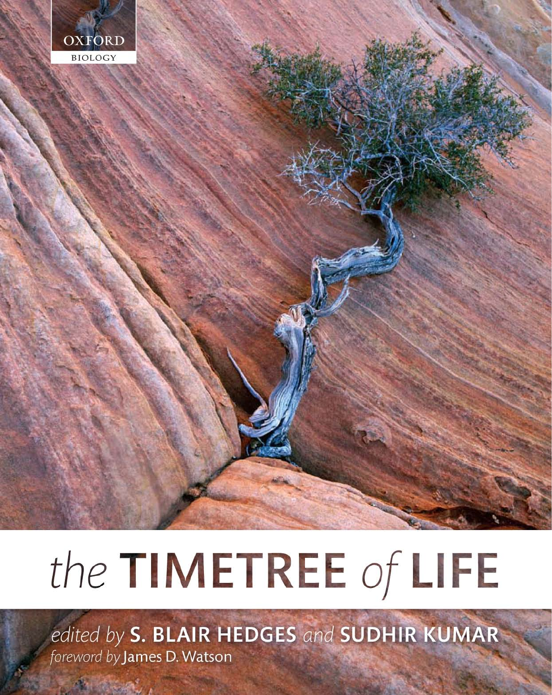

## the TIMETREE of LIFE

edited by S. BLAIR HEDGES and SUDHIR KUMAR foreword by James D. Watson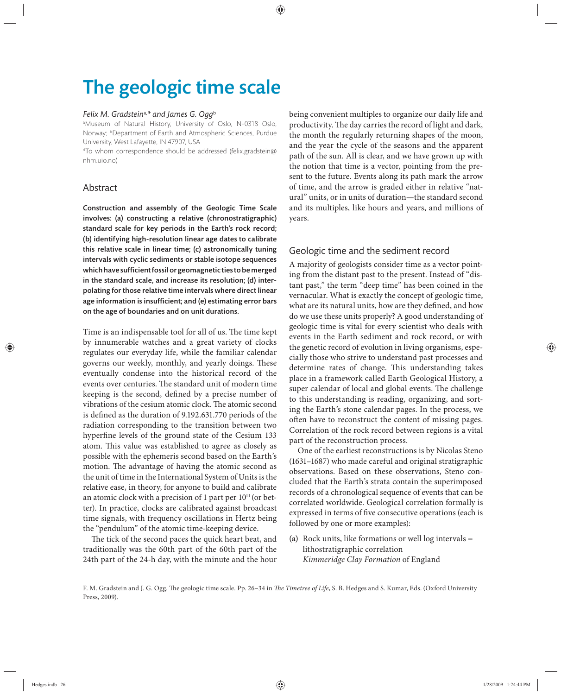### The geologic time scale

#### *Felix M. Gradstein*<sup>a</sup>*, \* and James G. Ogg*<sup>b</sup>

a Museum of Natural History, University of Oslo, N-0318 Oslo, Norway; bDepartment of Earth and Atmospheric Sciences, Purdue University, West Lafayette, IN 47907, USA

\*To whom correspondence should be addressed (felix.gradstein@ nhm.uio.no)

#### Abstract

Construction and assembly of the Geologic Time Scale involves: (a) constructing a relative (chronostratigraphic) standard scale for key periods in the Earth's rock record; (b) identifying high-resolution linear age dates to calibrate this relative scale in linear time; (c) astronomically tuning intervals with cyclic sediments or stable isotope sequences which have sufficient fossil or geomagnetic ties to be merged in the standard scale, and increase its resolution; (d) interpolating for those relative time intervals where direct linear age information is insufficient; and (e) estimating error bars on the age of boundaries and on unit durations.

Time is an indispensable tool for all of us. The time kept by innumerable watches and a great variety of clocks regulates our everyday life, while the familiar calendar governs our weekly, monthly, and yearly doings. These eventually condense into the historical record of the events over centuries. The standard unit of modern time keeping is the second, defined by a precise number of vibrations of the cesium atomic clock. The atomic second is defined as the duration of 9.192.631.770 periods of the radiation corresponding to the transition between two hyperfine levels of the ground state of the Cesium 133 atom. This value was established to agree as closely as possible with the ephemeris second based on the Earth's motion. The advantage of having the atomic second as the unit of time in the International System of Units is the relative ease, in theory, for anyone to build and calibrate an atomic clock with a precision of 1 part per 10<sup>11</sup> (or better). In practice, clocks are calibrated against broadcast time signals, with frequency oscillations in Hertz being the "pendulum" of the atomic time-keeping device.

The tick of the second paces the quick heart beat, and traditionally was the 60th part of the 60th part of the 24th part of the 24-h day, with the minute and the hour

being convenient multiples to organize our daily life and productivity. The day carries the record of light and dark, the month the regularly returning shapes of the moon, and the year the cycle of the seasons and the apparent path of the sun. All is clear, and we have grown up with the notion that time is a vector, pointing from the present to the future. Events along its path mark the arrow of time, and the arrow is graded either in relative "natural" units, or in units of duration—the standard second and its multiples, like hours and years, and millions of years.

#### Geologic time and the sediment record

A majority of geologists consider time as a vector pointing from the distant past to the present. Instead of "distant past," the term "deep time" has been coined in the vernacular. What is exactly the concept of geologic time, what are its natural units, how are they defined, and how do we use these units properly? A good understanding of geologic time is vital for every scientist who deals with events in the Earth sediment and rock record, or with the genetic record of evolution in living organisms, especially those who strive to understand past processes and determine rates of change. This understanding takes place in a framework called Earth Geological History, a super calendar of local and global events. The challenge to this understanding is reading, organizing, and sorting the Earth's stone calendar pages. In the process, we often have to reconstruct the content of missing pages. Correlation of the rock record between regions is a vital part of the reconstruction process.

One of the earliest reconstructions is by Nicolas Steno (1631–1687) who made careful and original stratigraphic observations. Based on these observations, Steno concluded that the Earth's strata contain the superimposed records of a chronological sequence of events that can be correlated worldwide. Geological correlation formally is expressed in terms of five consecutive operations (each is followed by one or more examples):

**(a)** Rock units, like formations or well log intervals = lithostratigraphic correlation *Kimmeridge Clay Formation* of England

F. M. Gradstein and J. G. Ogg. The geologic time scale. Pp. 26-34 in *The Timetree of Life*, S. B. Hedges and S. Kumar, Eds. (Oxford University Press, 2009).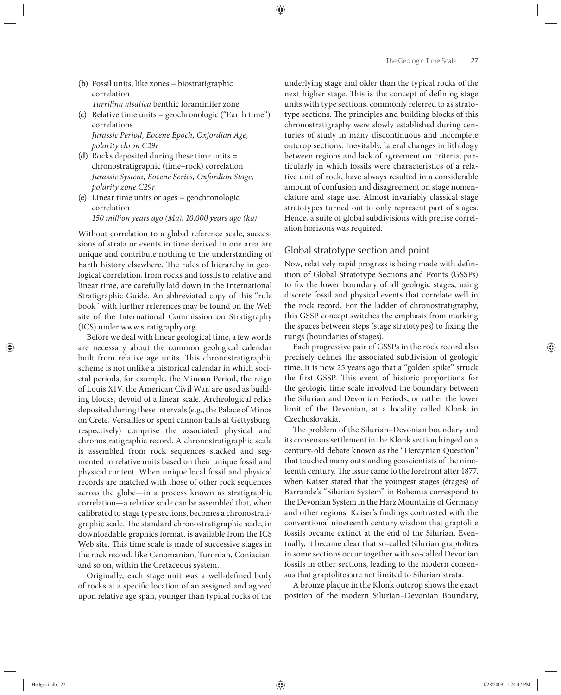- **(b)** Fossil units, like zones = biostratigraphic correlation *Turrilina alsatica* benthic foraminifer zone
- **(c)** Relative time units = geochronologic ("Earth time") correlations *Jurassic Period, Eocene Epoch, Oxfordian Age,*
- *polarity chron C29r* **(d)** Rocks deposited during these time units = chronostratigraphic (time–rock) correlation *Jurassic System, Eocene Series, Oxfordian Stage, polarity zone C29r*
- **(e)** Linear time units or ages = geochronologic correlation

*150 million years ago (Ma), 10,000 years ago (ka)*

Without correlation to a global reference scale, successions of strata or events in time derived in one area are unique and contribute nothing to the understanding of Earth history elsewhere. The rules of hierarchy in geological correlation, from rocks and fossils to relative and linear time, are carefully laid down in the International Stratigraphic Guide. An abbreviated copy of this "rule book" with further references may be found on the Web site of the International Commission on Stratigraphy (ICS) under www.stratigraphy.org.

Before we deal with linear geological time, a few words are necessary about the common geological calendar built from relative age units. This chronostratigraphic scheme is not unlike a historical calendar in which societal periods, for example, the Minoan Period, the reign of Louis XIV, the American Civil War, are used as building blocks, devoid of a linear scale. Archeological relics deposited during these intervals (e.g., the Palace of Minos on Crete, Versailles or spent cannon balls at Gettysburg, respectively) comprise the associated physical and chronostratigraphic record. A chronostratigraphic scale is assembled from rock sequences stacked and segmented in relative units based on their unique fossil and physical content. When unique local fossil and physical records are matched with those of other rock sequences across the globe—in a process known as stratigraphic correlation—a relative scale can be assembled that, when calibrated to stage type sections, becomes a chronostratigraphic scale. The standard chronostratigraphic scale, in downloadable graphics format, is available from the ICS Web site. This time scale is made of successive stages in the rock record, like Cenomanian, Turonian, Coniacian, and so on, within the Cretaceous system.

Originally, each stage unit was a well-defined body of rocks at a specific location of an assigned and agreed upon relative age span, younger than typical rocks of the underlying stage and older than the typical rocks of the next higher stage. This is the concept of defining stage units with type sections, commonly referred to as stratotype sections. The principles and building blocks of this chronostratigraphy were slowly established during centuries of study in many discontinuous and incomplete outcrop sections. Inevitably, lateral changes in lithology between regions and lack of agreement on criteria, particularly in which fossils were characteristics of a relative unit of rock, have always resulted in a considerable amount of confusion and disagreement on stage nomenclature and stage use. Almost invariably classical stage stratotypes turned out to only represent part of stages. Hence, a suite of global subdivisions with precise correlation horizons was required.

#### Global stratotype section and point

Now, relatively rapid progress is being made with definition of Global Stratotype Sections and Points (GSSPs) to fix the lower boundary of all geologic stages, using discrete fossil and physical events that correlate well in the rock record. For the ladder of chronostratigraphy, this GSSP concept switches the emphasis from marking the spaces between steps (stage stratotypes) to fixing the rungs (boundaries of stages).

Each progressive pair of GSSPs in the rock record also precisely defines the associated subdivision of geologic time. It is now 25 years ago that a "golden spike" struck the first GSSP. This event of historic proportions for the geologic time scale involved the boundary between the Silurian and Devonian Periods, or rather the lower limit of the Devonian, at a locality called Klonk in Czechoslovakia.

The problem of the Silurian–Devonian boundary and its consensus settlement in the Klonk section hinged on a century-old debate known as the "Hercynian Question" that touched many outstanding geoscientists of the nineteenth century. The issue came to the forefront after 1877, when Kaiser stated that the youngest stages (étages) of Barrande's "Silurian System" in Bohemia correspond to the Devonian System in the Harz Mountains of Germany and other regions. Kaiser's findings contrasted with the conventional nineteenth century wisdom that graptolite fossils became extinct at the end of the Silurian. Eventually, it became clear that so-called Silurian graptolites in some sections occur together with so-called Devonian fossils in other sections, leading to the modern consensus that graptolites are not limited to Silurian strata.

A bronze plaque in the Klonk outcrop shows the exact position of the modern Silurian–Devonian Boundary,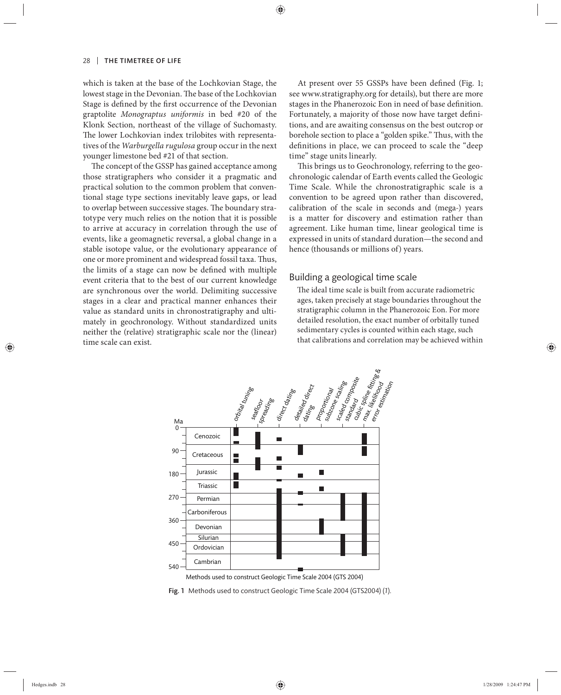which is taken at the base of the Lochkovian Stage, the lowest stage in the Devonian. The base of the Lochkovian Stage is defined by the first occurrence of the Devonian graptolite *Monograptus uniformis* in bed #20 of the Klonk Section, northeast of the village of Suchomasty. The lower Lochkovian index trilobites with representatives of the *Warburgella rugulosa* group occur in the next younger limestone bed #21 of that section.

The concept of the GSSP has gained acceptance among those stratigraphers who consider it a pragmatic and practical solution to the common problem that conventional stage type sections inevitably leave gaps, or lead to overlap between successive stages. The boundary stratotype very much relies on the notion that it is possible to arrive at accuracy in correlation through the use of events, like a geomagnetic reversal, a global change in a stable isotope value, or the evolutionary appearance of one or more prominent and widespread fossil taxa. Thus, the limits of a stage can now be defined with multiple event criteria that to the best of our current knowledge are synchronous over the world. Delimiting successive stages in a clear and practical manner enhances their value as standard units in chronostratigraphy and ultimately in geochronology. Without standardized units neither the (relative) stratigraphic scale nor the (linear) time scale can exist.

At present over 55 GSSPs have been defined (Fig. 1; see www.stratigraphy.org for details), but there are more stages in the Phanerozoic Eon in need of base definition. Fortunately, a majority of those now have target definitions, and are awaiting consensus on the best outcrop or borehole section to place a "golden spike." Thus, with the definitions in place, we can proceed to scale the "deep time" stage units linearly.

This brings us to Geochronology, referring to the geochronologic calendar of Earth events called the Geologic Time Scale. While the chronostratigraphic scale is a convention to be agreed upon rather than discovered, calibration of the scale in seconds and (mega-) years is a matter for discovery and estimation rather than agreement. Like human time, linear geological time is expressed in units of standard duration—the second and hence (thousands or millions of) years.

#### Building a geological time scale

The ideal time scale is built from accurate radiometric ages, taken precisely at stage boundaries throughout the stratigraphic column in the Phanerozoic Eon. For more detailed resolution, the exact number of orbitally tuned sedimentary cycles is counted within each stage, such that calibrations and correlation may be achieved within



Fig. 1 Methods used to construct Geologic Time Scale 2004 (GTS2004) (*1*).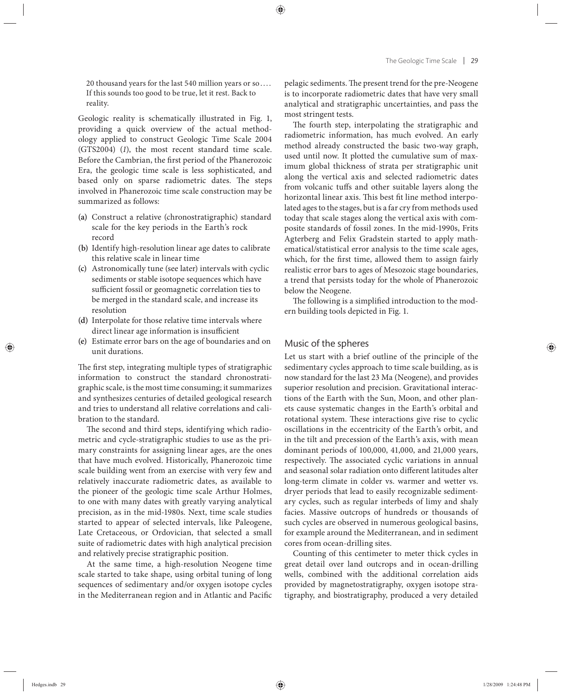20 thousand years for the last 540 million years or so . . . . If this sounds too good to be true, let it rest. Back to reality.

Geologic reality is schematically illustrated in Fig. 1, providing a quick overview of the actual methodology applied to construct Geologic Time Scale 2004 (GTS2004) (*1*), the most recent standard time scale. Before the Cambrian, the first period of the Phanerozoic Era, the geologic time scale is less sophisticated, and based only on sparse radiometric dates. The steps involved in Phanerozoic time scale construction may be summarized as follows:

- **(a)** Construct a relative (chronostratigraphic) standard scale for the key periods in the Earth's rock record
- **(b)** Identify high-resolution linear age dates to calibrate this relative scale in linear time
- **(c)** Astronomically tune (see later) intervals with cyclic sediments or stable isotope sequences which have sufficient fossil or geomagnetic correlation ties to be merged in the standard scale, and increase its resolution
- **(d)** Interpolate for those relative time intervals where direct linear age information is insufficient
- **(e)** Estimate error bars on the age of boundaries and on unit durations.

The first step, integrating multiple types of stratigraphic information to construct the standard chronostratigraphic scale, is the most time consuming; it summarizes and synthesizes centuries of detailed geological research and tries to understand all relative correlations and calibration to the standard.

The second and third steps, identifying which radiometric and cycle-stratigraphic studies to use as the primary constraints for assigning linear ages, are the ones that have much evolved. Historically, Phanerozoic time scale building went from an exercise with very few and relatively inaccurate radiometric dates, as available to the pioneer of the geologic time scale Arthur Holmes, to one with many dates with greatly varying analytical precision, as in the mid-1980s. Next, time scale studies started to appear of selected intervals, like Paleogene, Late Cretaceous, or Ordovician, that selected a small suite of radiometric dates with high analytical precision and relatively precise stratigraphic position.

At the same time, a high-resolution Neogene time scale started to take shape, using orbital tuning of long sequences of sedimentary and/or oxygen isotope cycles in the Mediterranean region and in Atlantic and Pacific pelagic sediments. The present trend for the pre-Neogene is to incorporate radiometric dates that have very small analytical and stratigraphic uncertainties, and pass the most stringent tests.

The fourth step, interpolating the stratigraphic and radiometric information, has much evolved. An early method already constructed the basic two-way graph, used until now. It plotted the cumulative sum of maximum global thickness of strata per stratigraphic unit along the vertical axis and selected radiometric dates from volcanic tuffs and other suitable layers along the horizontal linear axis. This best fit line method interpolated ages to the stages, but is a far cry from methods used today that scale stages along the vertical axis with composite standards of fossil zones. In the mid-1990s, Frits Agterberg and Felix Gradstein started to apply mathematical/statistical error analysis to the time scale ages, which, for the first time, allowed them to assign fairly realistic error bars to ages of Mesozoic stage boundaries, a trend that persists today for the whole of Phanerozoic below the Neogene.

The following is a simplified introduction to the modern building tools depicted in Fig. 1.

#### Music of the spheres

Let us start with a brief outline of the principle of the sedimentary cycles approach to time scale building, as is now standard for the last 23 Ma (Neogene), and provides superior resolution and precision. Gravitational interactions of the Earth with the Sun, Moon, and other planets cause systematic changes in the Earth's orbital and rotational system. These interactions give rise to cyclic oscillations in the eccentricity of the Earth's orbit, and in the tilt and precession of the Earth's axis, with mean dominant periods of 100,000, 41,000, and 21,000 years, respectively. The associated cyclic variations in annual and seasonal solar radiation onto different latitudes alter long-term climate in colder vs. warmer and wetter vs. dryer periods that lead to easily recognizable sedimentary cycles, such as regular interbeds of limy and shaly facies. Massive outcrops of hundreds or thousands of such cycles are observed in numerous geological basins, for example around the Mediterranean, and in sediment cores from ocean-drilling sites.

Counting of this centimeter to meter thick cycles in great detail over land outcrops and in ocean-drilling wells, combined with the additional correlation aids provided by magnetostratigraphy, oxygen isotope stratigraphy, and biostratigraphy, produced a very detailed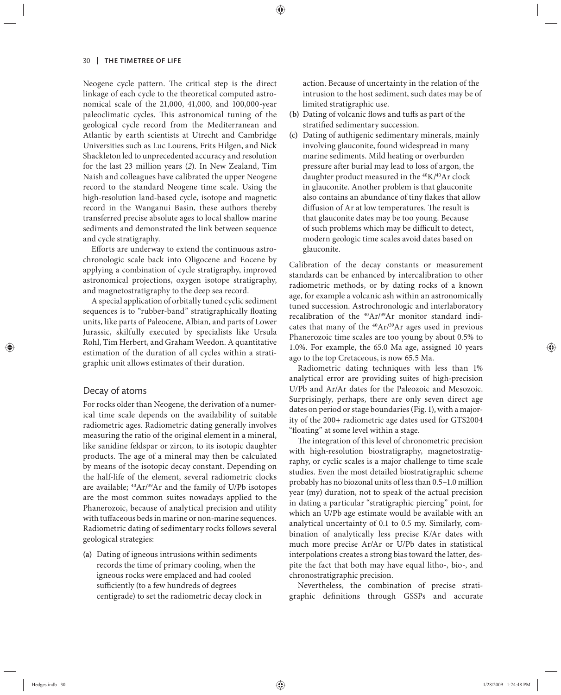Neogene cycle pattern. The critical step is the direct linkage of each cycle to the theoretical computed astronomical scale of the 21,000, 41,000, and 100,000-year paleoclimatic cycles. This astronomical tuning of the geological cycle record from the Mediterranean and Atlantic by earth scientists at Utrecht and Cambridge Universities such as Luc Lourens, Frits Hilgen, and Nick Shackleton led to unprecedented accuracy and resolution for the last 23 million years (*2*). In New Zealand, Tim Naish and colleagues have calibrated the upper Neogene record to the standard Neogene time scale. Using the high-resolution land-based cycle, isotope and magnetic record in the Wanganui Basin, these authors thereby transferred precise absolute ages to local shallow marine sediments and demonstrated the link between sequence and cycle stratigraphy.

Efforts are underway to extend the continuous astrochronologic scale back into Oligocene and Eocene by applying a combination of cycle stratigraphy, improved astronomical projections, oxygen isotope stratigraphy, and magnetostratigraphy to the deep sea record.

A special application of orbitally tuned cyclic sediment sequences is to "rubber-band" stratigraphically floating units, like parts of Paleocene, Albian, and parts of Lower Jurassic, skilfully executed by specialists like Ursula Rohl, Tim Herbert, and Graham Weedon. A quantitative estimation of the duration of all cycles within a stratigraphic unit allows estimates of their duration.

#### Decay of atoms

For rocks older than Neogene, the derivation of a numerical time scale depends on the availability of suitable radiometric ages. Radiometric dating generally involves measuring the ratio of the original element in a mineral, like sanidine feldspar or zircon, to its isotopic daughter products. The age of a mineral may then be calculated by means of the isotopic decay constant. Depending on the half-life of the element, several radiometric clocks are available; 40Ar/39Ar and the family of U/Pb isotopes are the most common suites nowadays applied to the Phanerozoic, because of analytical precision and utility with tuffaceous beds in marine or non-marine sequences. Radiometric dating of sedimentary rocks follows several geological strategies:

**(a)** Dating of igneous intrusions within sediments records the time of primary cooling, when the igneous rocks were emplaced and had cooled sufficiently (to a few hundreds of degrees centigrade) to set the radiometric decay clock in action. Because of uncertainty in the relation of the intrusion to the host sediment, such dates may be of limited stratigraphic use.

- (b) Dating of volcanic flows and tuffs as part of the stratified sedimentary succession.
- **(c)** Dating of authigenic sedimentary minerals, mainly involving glauconite, found widespread in many marine sediments. Mild heating or overburden pressure after burial may lead to loss of argon, the daughter product measured in the 40K/40Ar clock in glauconite. Another problem is that glauconite also contains an abundance of tiny flakes that allow diffusion of Ar at low temperatures. The result is that glauconite dates may be too young. Because of such problems which may be difficult to detect, modern geologic time scales avoid dates based on glauconite.

Calibration of the decay constants or measurement standards can be enhanced by intercalibration to other radiometric methods, or by dating rocks of a known age, for example a volcanic ash within an astronomically tuned succession. Astrochronologic and interlaboratory recalibration of the 40Ar/39Ar monitor standard indicates that many of the  $40Ar/39Ar$  ages used in previous Phanerozoic time scales are too young by about 0.5% to 1.0%. For example, the 65.0 Ma age, assigned 10 years ago to the top Cretaceous, is now 65.5 Ma.

Radiometric dating techniques with less than 1% analytical error are providing suites of high-precision U/Pb and Ar/Ar dates for the Paleozoic and Mesozoic. Surprisingly, perhaps, there are only seven direct age dates on period or stage boundaries (Fig. 1), with a majority of the 200+ radiometric age dates used for GTS2004 "floating" at some level within a stage.

The integration of this level of chronometric precision with high-resolution biostratigraphy, magnetostratigraphy, or cyclic scales is a major challenge to time scale studies. Even the most detailed biostratigraphic scheme probably has no biozonal units of less than 0.5–1.0 million year (my) duration, not to speak of the actual precision in dating a particular "stratigraphic piercing" point, for which an U/Pb age estimate would be available with an analytical uncertainty of 0.1 to 0.5 my. Similarly, combination of analytically less precise K/Ar dates with much more precise Ar/Ar or U/Pb dates in statistical interpolations creates a strong bias toward the latter, despite the fact that both may have equal litho-, bio-, and chronostratigraphic precision.

Nevertheless, the combination of precise stratigraphic definitions through GSSPs and accurate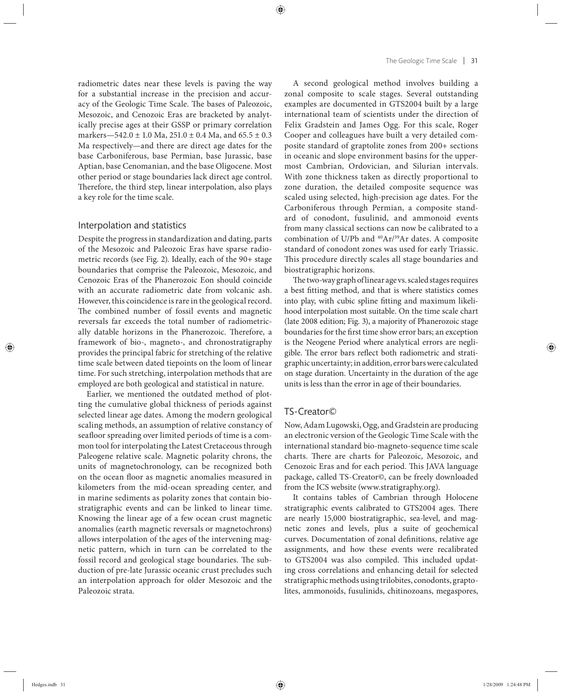radiometric dates near these levels is paving the way for a substantial increase in the precision and accuracy of the Geologic Time Scale. The bases of Paleozoic, Mesozoic, and Cenozoic Eras are bracketed by analytically precise ages at their GSSP or primary correlation markers—542.0  $\pm$  1.0 Ma, 251.0  $\pm$  0.4 Ma, and 65.5  $\pm$  0.3 Ma respectively—and there are direct age dates for the base Carboniferous, base Permian, base Jurassic, base Aptian, base Cenomanian, and the base Oligocene. Most other period or stage boundaries lack direct age control. Therefore, the third step, linear interpolation, also plays a key role for the time scale.

#### Interpolation and statistics

Despite the progress in standardization and dating, parts of the Mesozoic and Paleozoic Eras have sparse radiometric records (see Fig. 2). Ideally, each of the 90+ stage boundaries that comprise the Paleozoic, Mesozoic, and Cenozoic Eras of the Phanerozoic Eon should coincide with an accurate radiometric date from volcanic ash. However, this coincidence is rare in the geological record. The combined number of fossil events and magnetic reversals far exceeds the total number of radiometrically datable horizons in the Phanerozoic. Therefore, a framework of bio-, magneto-, and chronostratigraphy provides the principal fabric for stretching of the relative time scale between dated tiepoints on the loom of linear time. For such stretching, interpolation methods that are employed are both geological and statistical in nature.

Earlier, we mentioned the outdated method of plotting the cumulative global thickness of periods against selected linear age dates. Among the modern geological scaling methods, an assumption of relative constancy of seafloor spreading over limited periods of time is a common tool for interpolating the Latest Cretaceous through Paleogene relative scale. Magnetic polarity chrons, the units of magnetochronology, can be recognized both on the ocean floor as magnetic anomalies measured in kilometers from the mid-ocean spreading center, and in marine sediments as polarity zones that contain biostratigraphic events and can be linked to linear time. Knowing the linear age of a few ocean crust magnetic anomalies (earth magnetic reversals or magnetochrons) allows interpolation of the ages of the intervening magnetic pattern, which in turn can be correlated to the fossil record and geological stage boundaries. The subduction of pre-late Jurassic oceanic crust precludes such an interpolation approach for older Mesozoic and the Paleozoic strata.

A second geological method involves building a zonal composite to scale stages. Several outstanding examples are documented in GTS2004 built by a large international team of scientists under the direction of Felix Gradstein and James Ogg. For this scale, Roger Cooper and colleagues have built a very detailed composite standard of graptolite zones from 200+ sections in oceanic and slope environment basins for the uppermost Cambrian, Ordovician, and Silurian intervals. With zone thickness taken as directly proportional to zone duration, the detailed composite sequence was scaled using selected, high-precision age dates. For the Carboniferous through Permian, a composite standard of conodont, fusulinid, and ammonoid events from many classical sections can now be calibrated to a combination of U/Pb and 40Ar/39Ar dates. A composite standard of conodont zones was used for early Triassic. This procedure directly scales all stage boundaries and biostratigraphic horizons.

The two-way graph of linear age vs. scaled stages requires a best fitting method, and that is where statistics comes into play, with cubic spline fitting and maximum likelihood interpolation most suitable. On the time scale chart (late 2008 edition; Fig. 3), a majority of Phanerozoic stage boundaries for the first time show error bars; an exception is the Neogene Period where analytical errors are negligible. The error bars reflect both radiometric and stratigraphic uncertainty; in addition, error bars were calculated on stage duration. Uncertainty in the duration of the age units is less than the error in age of their boundaries.

#### TS-Creator©

Now, Adam Lugowski, Ogg, and Gradstein are producing an electronic version of the Geologic Time Scale with the international standard bio-magneto-sequence time scale charts. There are charts for Paleozoic, Mesozoic, and Cenozoic Eras and for each period. This JAVA language package, called TS-Creator©, can be freely downloaded from the ICS website (www.stratigraphy.org).

It contains tables of Cambrian through Holocene stratigraphic events calibrated to GTS2004 ages. There are nearly 15,000 biostratigraphic, sea-level, and magnetic zones and levels, plus a suite of geochemical curves. Documentation of zonal definitions, relative age assignments, and how these events were recalibrated to GTS2004 was also compiled. This included updating cross correlations and enhancing detail for selected stratigraphic methods using trilobites, conodonts, graptolites, ammonoids, fusulinids, chitinozoans, megaspores,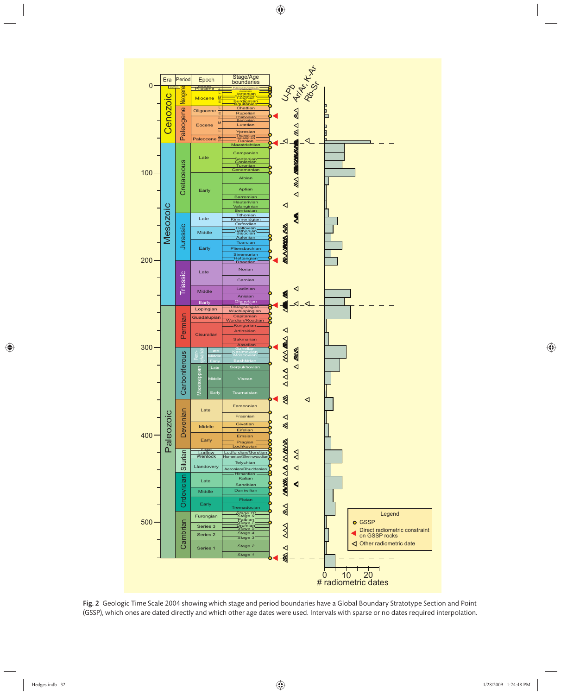

Fig. 2 Geologic Time Scale 2004 showing which stage and period boundaries have a Global Boundary Stratotype Section and Point (GSSP), which ones are dated directly and which other age dates were used. Intervals with sparse or no dates required interpolation.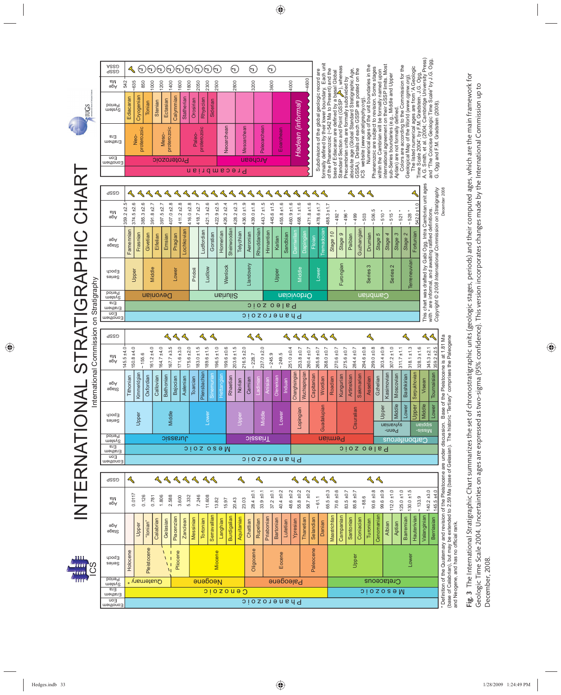

# INTERNATIONAL STRATIGRAPHIC CHART INTERNATIONAL STRATIGRAPHIC CHART International Commission on Stratigraphy



| <b>ASSO</b><br>dSSD                       | $\blacktriangle$<br>$(\neg)$<br>Θ.                                                                    | ⊖<br>$(\lnot)$                                                                                                                                                                                                                                                                                                                                                                                                                  | ⊖<br>⊖                                                 | €<br>⊖                                              | E                                                             | C                                     | $\Theta$                                      | €                                                          |                                            |                                           |                                                                                                       |                                                                                                                                        |                                                                                                 |                                                                                      |                                                                                                  |                                                                                                       |                                                 |                                                                                              |                                                                                                                                                           |                                                                                                                                                                                      |                                                                                                                                                               |
|-------------------------------------------|-------------------------------------------------------------------------------------------------------|---------------------------------------------------------------------------------------------------------------------------------------------------------------------------------------------------------------------------------------------------------------------------------------------------------------------------------------------------------------------------------------------------------------------------------|--------------------------------------------------------|-----------------------------------------------------|---------------------------------------------------------------|---------------------------------------|-----------------------------------------------|------------------------------------------------------------|--------------------------------------------|-------------------------------------------|-------------------------------------------------------------------------------------------------------|----------------------------------------------------------------------------------------------------------------------------------------|-------------------------------------------------------------------------------------------------|--------------------------------------------------------------------------------------|--------------------------------------------------------------------------------------------------|-------------------------------------------------------------------------------------------------------|-------------------------------------------------|----------------------------------------------------------------------------------------------|-----------------------------------------------------------------------------------------------------------------------------------------------------------|--------------------------------------------------------------------------------------------------------------------------------------------------------------------------------------|---------------------------------------------------------------------------------------------------------------------------------------------------------------|
| <b>BM</b><br>əpA                          | 542<br>$-635$<br>850<br>1000                                                                          | 1200<br>1400                                                                                                                                                                                                                                                                                                                                                                                                                    | 1600<br>1800                                           | 2050<br>2300                                        | 2500                                                          | 2800                                  | 3200                                          | 3600                                                       | 4000                                       | $-4600$                                   |                                                                                                       | A), whereas                                                                                                                            |                                                                                                 |                                                                                      |                                                                                                  |                                                                                                       |                                                 |                                                                                              |                                                                                                                                                           |                                                                                                                                                                                      |                                                                                                                                                               |
| Period<br>Poine                           | Cryogenian<br>Ediacaran<br>Toniar                                                                     | Calymmian<br>Ectasian<br>Stenian                                                                                                                                                                                                                                                                                                                                                                                                | Statherian                                             | Orosirian<br>Rhyacian                               | Siderian                                                      |                                       |                                               |                                                            |                                            |                                           | formally defined by their lower boundary. Each unit<br>Subdivisions of the global geologic record are | of the Phanerozoic (~542 Ma to Present) and the<br>base of Ediacaran are defined by a basal Global<br>Standard Section and Point (GSSP | absolute age (Global Standard Stratigraphic Age<br>Precambrian units are formally subdivided by | GSSA). Details of each GSSP are posted on the<br>ICS website (www.stratigraphy.org). | Numerical ages of the unit boundaries in the<br>Phanerozoic are subject to revision. Some stages | international agreement on their GSSP limits. Most<br>within the Cambrian will be formally named upon | sub-Series boundaries (e.g., Middle and Upper   | Colors are according to the Commission for the<br>Geological Map of the World (www.cgmw.org) | Time Scale 2004', by F.M. Gradstein, J.G. Ogg,<br>A.G. Smith, et al. (2004; Cambridge University Press)<br>The listed numerical ages are from 'A Geologic | and "The Concise Geologic Time Scale" by J.G. Ogg,                                                                                                                                   |                                                                                                                                                               |
| Era<br>Erathem                            | proterozoic<br>Neo-                                                                                   | proterozoic<br>Meso-                                                                                                                                                                                                                                                                                                                                                                                                            |                                                        | proterozoic<br>Paleo-                               | Neoarchean                                                    |                                       | Mesoarchean                                   | Paleoarchean<br>Eoarchean                                  | Hadean (informal)                          |                                           |                                                                                                       |                                                                                                                                        |                                                                                                 |                                                                                      |                                                                                                  |                                                                                                       | Aptian) are not formally defined.               |                                                                                              |                                                                                                                                                           |                                                                                                                                                                                      | G. Ogg and F.M. Gradstein (2008).                                                                                                                             |
| uo∃<br>Eonothem                           |                                                                                                       | Proterozoic                                                                                                                                                                                                                                                                                                                                                                                                                     |                                                        |                                                     | recamprian                                                    |                                       | Archean<br>$\mathsf{d}$                       |                                                            |                                            |                                           |                                                                                                       |                                                                                                                                        |                                                                                                 |                                                                                      |                                                                                                  |                                                                                                       |                                                 |                                                                                              |                                                                                                                                                           |                                                                                                                                                                                      |                                                                                                                                                               |
|                                           |                                                                                                       |                                                                                                                                                                                                                                                                                                                                                                                                                                 |                                                        |                                                     |                                                               |                                       |                                               |                                                            |                                            |                                           |                                                                                                       |                                                                                                                                        |                                                                                                 |                                                                                      |                                                                                                  |                                                                                                       |                                                 |                                                                                              |                                                                                                                                                           |                                                                                                                                                                                      |                                                                                                                                                               |
| dSSD                                      | $\blacktriangle$<br>$\blacktriangle$<br>$\blacktriangle$                                              | $\blacktriangle$<br>$\mathbf{A}$                                                                                                                                                                                                                                                                                                                                                                                                |                                                        | $\blacktriangle$<br>$\blacktriangle$                | $\blacktriangle$<br>$\blacktriangle$                          | $\blacktriangle$<br>$\blacktriangle$  | $\blacktriangle$<br>$\blacktriangle$          | $\blacktriangle$<br>$\blacktriangle$                       | $\blacktriangle$<br>$\blacktriangle$       | $\mathbf{A}$                              | $\triangleleft$<br>$\blacktriangle$                                                                   |                                                                                                                                        |                                                                                                 | 111                                                                                  |                                                                                                  |                                                                                                       |                                                 |                                                                                              | ۵                                                                                                                                                         |                                                                                                                                                                                      | December 2008                                                                                                                                                 |
| <b>BM</b><br>epA                          | $374.5 + 2.6$<br>$385.3 + 2.6$<br>rù.<br>$359.2 + 2$                                                  | œ<br>$391.8 + 2.7$<br>$397.5 + 2.7$<br>407.0 ±2                                                                                                                                                                                                                                                                                                                                                                                 | $411.2 \pm 2.8$<br>$416.0 + 2.8$                       | $421.3 + 2.6$<br>418.7 ±2.7                         | $422.9 + 2.5$<br>$426.2 + 2.4$                                | $428.2 + 2.3$                         | $436.0 \pm 1.9$<br>$439.0 \pm 1.8$            | $443.7 \pm 1.5$<br>$445.6 \pm 1.5$<br>$455.8 \pm 1.6$      | $460.9 + 1.6$                              | $468.1 \pm 1.6$<br>$471.8 \pm 1.6$        | $478.6 \pm 1.7$<br>$488.3 \pm 1.7$                                                                    | $-492$                                                                                                                                 | $-496$                                                                                          | ~503<br>$-499$                                                                       | ~5006.5                                                                                          | $-510*$                                                                                               | $~1515*$<br>$-521*$                             | $-528*$                                                                                      | 542.0 ±1.0                                                                                                                                                |                                                                                                                                                                                      |                                                                                                                                                               |
| əpA<br>Stage                              | Famennian<br>Frasnian<br>Givetian                                                                     | Pragian<br>Emsian<br>Eifelian                                                                                                                                                                                                                                                                                                                                                                                                   | Lochkovian                                             | Ludfordian                                          | Homerian<br>Gorstian                                          | Sheinwoodiar<br>Telychian             | Rhuddanian<br>Aeronian                        | Hirnantian<br>Katian                                       | Darriwilian<br>Sandbian                    | Dapingian                                 | Tremadociar<br>Flojan                                                                                 | Stage 10                                                                                                                               | Stage 9<br>Paibian                                                                              | Guzhangian                                                                           | Drumian<br>Stage 5                                                                               | Stage 4                                                                                               | Stage 3                                         | Stage 2                                                                                      | Fortunian                                                                                                                                                 | This chart was drafted by Gabi Ogg. Intra Cambrian unit ages<br>Copyright © 2008 International Commission on Stratigraphy<br>with * are informal, and awaiting ratified definitions. |                                                                                                                                                               |
| Epoch<br>SeineS                           | Upper                                                                                                 | Middle<br>Lower                                                                                                                                                                                                                                                                                                                                                                                                                 |                                                        | Ludlow<br>Pridoli                                   |                                                               | Wenlock                               | Llandovery                                    | Upper                                                      |                                            | Middle                                    | Lower                                                                                                 |                                                                                                                                        | Furongian                                                                                       |                                                                                      | Series 3                                                                                         |                                                                                                       | Series <sub>2</sub>                             | Terreneuvian                                                                                 |                                                                                                                                                           |                                                                                                                                                                                      |                                                                                                                                                               |
| <b>boined</b><br>mətaγa                   |                                                                                                       | Devonian                                                                                                                                                                                                                                                                                                                                                                                                                        |                                                        |                                                     | <b>Gilurian</b>                                               |                                       |                                               |                                                            | Ordovician                                 |                                           |                                                                                                       |                                                                                                                                        |                                                                                                 |                                                                                      | Cambrian                                                                                         |                                                                                                       |                                                 |                                                                                              |                                                                                                                                                           |                                                                                                                                                                                      |                                                                                                                                                               |
| Era<br>Erathem<br>uo∃                     |                                                                                                       |                                                                                                                                                                                                                                                                                                                                                                                                                                 |                                                        |                                                     |                                                               |                                       |                                               | paleozoic<br>phanerozoic                                   |                                            |                                           |                                                                                                       |                                                                                                                                        |                                                                                                 |                                                                                      |                                                                                                  |                                                                                                       |                                                 |                                                                                              |                                                                                                                                                           |                                                                                                                                                                                      |                                                                                                                                                               |
| Eonothem                                  |                                                                                                       |                                                                                                                                                                                                                                                                                                                                                                                                                                 |                                                        |                                                     |                                                               |                                       |                                               |                                                            |                                            |                                           |                                                                                                       |                                                                                                                                        |                                                                                                 |                                                                                      |                                                                                                  |                                                                                                       |                                                 |                                                                                              |                                                                                                                                                           |                                                                                                                                                                                      |                                                                                                                                                               |
| <b>dSSD</b>                               |                                                                                                       | 11                                                                                                                                                                                                                                                                                                                                                                                                                              | $\blacktriangle$                                       | $\blacktriangle$                                    | $\blacktriangle$                                              |                                       | 44                                            |                                                            | $\mathbf{A}$<br>$\blacktriangle$           | $\mathbf{A}$                              | $\blacktriangle$<br>$\blacktriangle$                                                                  | $\blacktriangle$                                                                                                                       |                                                                                                 |                                                                                      | $\blacktriangleleft$                                                                             |                                                                                                       |                                                 | $\blacktriangle$                                                                             |                                                                                                                                                           |                                                                                                                                                                                      |                                                                                                                                                               |
|                                           |                                                                                                       |                                                                                                                                                                                                                                                                                                                                                                                                                                 |                                                        |                                                     |                                                               |                                       |                                               |                                                            |                                            |                                           |                                                                                                       |                                                                                                                                        |                                                                                                 |                                                                                      |                                                                                                  |                                                                                                       |                                                 |                                                                                              |                                                                                                                                                           | 44                                                                                                                                                                                   |                                                                                                                                                               |
| <b>BM</b><br>$\overline{op}$              |                                                                                                       |                                                                                                                                                                                                                                                                                                                                                                                                                                 |                                                        |                                                     |                                                               |                                       |                                               |                                                            |                                            |                                           |                                                                                                       |                                                                                                                                        |                                                                                                 |                                                                                      |                                                                                                  |                                                                                                       |                                                 |                                                                                              |                                                                                                                                                           |                                                                                                                                                                                      |                                                                                                                                                               |
| əpA<br>əpsi2                              | $161.2 + 4.0$<br>$145.5 + 4.0$<br>$150.8 + 4.0$<br>$-155.6$<br>Kimmeridgian<br>Tithonian<br>Oxfordiar | $164.7 + 4.0$<br>$167.7 + 3.5$<br><b>Bathonian</b><br>Callovian<br>Bajocian                                                                                                                                                                                                                                                                                                                                                     | $171.6 + 3.0$<br>$175.6 + 2.0$<br>Aalenian<br>Toarcian | $183.0 \pm 1.5$<br>$189.6 \pm 1.5$<br>Pliensbachian | $196.5 \pm 1.0$<br>$199.6 \pm 0.6$<br>Hettangiar<br>Sinemuria | $203.6 \pm 1.5$<br>Rhaetian<br>Norian | $216.5 + 2.0$<br>~228.7<br>Carnian<br>adiniar | 237.0 ±2.0<br>$-249.5$<br>$-245.9$<br>Olenekian<br>Anisian | $251.0 \pm 0.4$<br>Changhsingian<br>Induan | 253.8 ±0.7<br>260.4 ±0.7<br>Wuchiapingian | 265.8 ±0.7<br>268.0 ±0.7<br>Capitanian<br>Wordian                                                     | 270.6 ±0.7<br>Kungurian<br>Roadian                                                                                                     | 275.6 ±0.7<br>284.4 ±0.7<br>Artinskian                                                          | $294.6 \pm 0.8$<br>Sakmarian                                                         | $299.0 + 0.8$<br>Gzhelian<br>Asseliar                                                            | $303.4 + 0.9$<br>Kasimovian                                                                           | $307.2 \pm 1.0$<br>$311.7 \pm 1.1$<br>Moscovian | $318.1 \pm 1.3$<br><b>Bashkirian</b>                                                         | $328.3 \pm 1.6$<br>Serpukhovian                                                                                                                           | $359.2 + 2.5$<br>$345.3 + 2.1$<br>Tournaisian<br>Visean                                                                                                                              |                                                                                                                                                               |
| Epoch<br>Seineg                           | Upper                                                                                                 | Middle                                                                                                                                                                                                                                                                                                                                                                                                                          |                                                        | Lower                                               |                                                               | Upper                                 |                                               | Middle<br>Lower                                            |                                            | Lopingian                                 | Guadalupian                                                                                           |                                                                                                                                        |                                                                                                 | Cisuralian                                                                           |                                                                                                  | Upper                                                                                                 | Middle<br><b>usinsvlys</b><br>Penn              | Lower                                                                                        | Upper                                                                                                                                                     | Middle<br>Lower<br>ueiddis<br><b>Pissi</b> N                                                                                                                                         | ion. Base of the Pleistocene is at 1.81 Ma<br>historic "Tertiary" comprises the Paleogene                                                                     |
| <b>boined</b><br>System                   |                                                                                                       | Jurassic                                                                                                                                                                                                                                                                                                                                                                                                                        |                                                        |                                                     |                                                               |                                       | <b>Diasaid</b>                                |                                                            |                                            |                                           |                                                                                                       | Permian                                                                                                                                |                                                                                                 |                                                                                      |                                                                                                  |                                                                                                       |                                                 |                                                                                              | Carboniferous                                                                                                                                             |                                                                                                                                                                                      |                                                                                                                                                               |
| Era<br>Erathem                            |                                                                                                       |                                                                                                                                                                                                                                                                                                                                                                                                                                 |                                                        |                                                     | piozoseM                                                      |                                       |                                               | <b>Phanerozoic</b>                                         |                                            |                                           |                                                                                                       |                                                                                                                                        |                                                                                                 |                                                                                      | <b>Paleo zoic</b>                                                                                |                                                                                                       |                                                 |                                                                                              |                                                                                                                                                           |                                                                                                                                                                                      |                                                                                                                                                               |
| Eon<br>Eonothem<br>dSSD                   | $\blacktriangle$                                                                                      |                                                                                                                                                                                                                                                                                                                                                                                                                                 |                                                        |                                                     |                                                               | $\blacktriangle$                      | $\blacktriangle$                              |                                                            |                                            |                                           | 111111                                                                                                |                                                                                                                                        |                                                                                                 |                                                                                      | $\sim$ $\sim$                                                                                    |                                                                                                       |                                                 |                                                                                              |                                                                                                                                                           |                                                                                                                                                                                      |                                                                                                                                                               |
| <b>BM</b><br>әб∀                          | 0.0117<br>0.126                                                                                       | 1.806<br>2.588<br>0.781                                                                                                                                                                                                                                                                                                                                                                                                         | 5.332<br>3.600                                         | 7.246<br>11.608                                     | 13.82<br>15.97                                                | 20.43                                 | $28.4 \pm 0.1$<br>23.03                       | $33.9 + 0.1$<br>$40.4 \pm 0.2$<br>$37.2 \pm 0.1$           | $48.6 \pm 0.2$                             | $55.8 \pm 0.2$<br>58.7 ±0.2               | $65.5 \pm 0.3$<br>$-61.1$                                                                             | $70.6 \pm 0.6$                                                                                                                         | $83.5 \pm 0.7$                                                                                  | $85.8 \pm 0.7$<br>$-88.6$                                                            | $93.6 \pm 0.8$                                                                                   | $99.6 \pm 0.9$                                                                                        | $112.0 \pm 1.0$                                 | $125.0 \pm 1.0$<br>$130.0 \pm 1.5$                                                           | 133.9                                                                                                                                                     | $140.2 \pm 3.0$<br>$145.5 + 4.0$                                                                                                                                                     |                                                                                                                                                               |
| ә6А<br>Stage                              | "lonian<br>Upper                                                                                      | Piacenziar<br>Calabrian<br>Gelasian                                                                                                                                                                                                                                                                                                                                                                                             | Messinian<br>Zanclean                                  | Tortonian                                           | Serravallian<br>Langhian                                      | Burdigalian<br>Aquitanian             | Rupelian<br>Chattian                          | Priabonian<br><b>Bartonian</b>                             | Ypresiar<br>Lutetian                       | Thanetian                                 | Selandian<br>Danian                                                                                   | Maastrichtian                                                                                                                          | Campaniar<br>Santonian                                                                          | Coniacian                                                                            | Cenomanian<br>Turonian                                                                           | Albian                                                                                                | Aptian                                          | Barremian                                                                                    | Hauterivian                                                                                                                                               | Valanginian<br>Berriasian                                                                                                                                                            |                                                                                                                                                               |
| Epoch<br>SeineS                           | Pleistocene<br>Holocene                                                                               | $\begin{array}{c} \rule{0pt}{2.5ex} \rule{0pt}{2.5ex} \rule{0pt}{2.5ex} \rule{0pt}{2.5ex} \rule{0pt}{2.5ex} \rule{0pt}{2.5ex} \rule{0pt}{2.5ex} \rule{0pt}{2.5ex} \rule{0pt}{2.5ex} \rule{0pt}{2.5ex} \rule{0pt}{2.5ex} \rule{0pt}{2.5ex} \rule{0pt}{2.5ex} \rule{0pt}{2.5ex} \rule{0pt}{2.5ex} \rule{0pt}{2.5ex} \rule{0pt}{2.5ex} \rule{0pt}{2.5ex} \rule{0pt}{2.5ex} \rule{0$<br>١<br>V<br>$V_{\perp}$<br>$\chi_{\parallel}$ | Pliocene                                               |                                                     | Miocene                                                       |                                       | Oligocene                                     | Eocene                                                     |                                            |                                           | Paleocene                                                                                             |                                                                                                                                        |                                                                                                 | Upper                                                                                |                                                                                                  |                                                                                                       |                                                 | Lower                                                                                        |                                                                                                                                                           |                                                                                                                                                                                      |                                                                                                                                                               |
| <b>boined</b><br>System                   | Quaternary                                                                                            |                                                                                                                                                                                                                                                                                                                                                                                                                                 |                                                        | Neodeue                                             |                                                               |                                       |                                               |                                                            | <b>Paleogene</b>                           |                                           |                                                                                                       |                                                                                                                                        |                                                                                                 |                                                                                      | Cretaceous                                                                                       |                                                                                                       |                                                 |                                                                                              |                                                                                                                                                           |                                                                                                                                                                                      |                                                                                                                                                               |
| Era<br>Erathem<br>$UO \equiv$<br>Eonothem |                                                                                                       |                                                                                                                                                                                                                                                                                                                                                                                                                                 |                                                        |                                                     |                                                               | piozoueg                              |                                               | phanerozoic                                                |                                            |                                           |                                                                                                       |                                                                                                                                        |                                                                                                 |                                                                                      | <b>DiozoseM</b>                                                                                  |                                                                                                       |                                                 |                                                                                              |                                                                                                                                                           |                                                                                                                                                                                      | Definition of the Quaternary and revision of the Pleistocene are under discuss<br>(base of Calabrian), but may be extended to 2.59 Ma (base of Gelasian). The |

**Fig. 3** The International Stratigraphic Chart summarizes the set of chronostratigraphic units (geologic stages, periods) and their computed ages, which are the main framework for<br>Geologic Time Scale 2004. Uncertainties on Fig. 3 The International Stratigraphic Chart summarizes the set of chronostratigraphic units (geologic stages, periods) and their computed ages, which are the main framework for Geologic Time Scale 2004. Uncertainties on ages are expressed as two-sigma (95% confi dence). This version incorporates changes made by the International Commission up to December, 2008.

December, 2008.